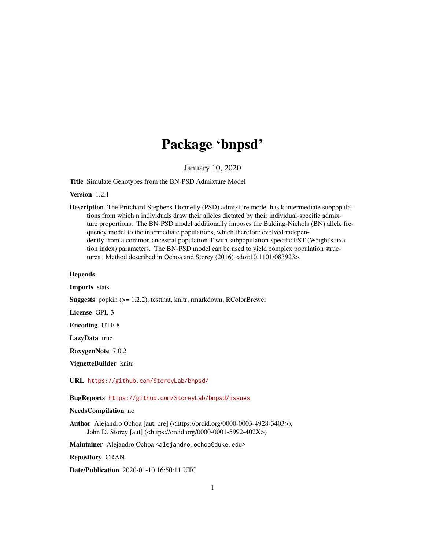## Package 'bnpsd'

January 10, 2020

<span id="page-0-0"></span>Title Simulate Genotypes from the BN-PSD Admixture Model

Version 1.2.1

Description The Pritchard-Stephens-Donnelly (PSD) admixture model has k intermediate subpopulations from which n individuals draw their alleles dictated by their individual-specific admixture proportions. The BN-PSD model additionally imposes the Balding-Nichols (BN) allele frequency model to the intermediate populations, which therefore evolved independently from a common ancestral population T with subpopulation-specific FST (Wright's fixation index) parameters. The BN-PSD model can be used to yield complex population structures. Method described in Ochoa and Storey (2016) <doi:10.1101/083923>.

#### Depends

Imports stats

Suggests popkin (>= 1.2.2), testthat, knitr, rmarkdown, RColorBrewer

License GPL-3

Encoding UTF-8

LazyData true

RoxygenNote 7.0.2

VignetteBuilder knitr

URL <https://github.com/StoreyLab/bnpsd/>

BugReports <https://github.com/StoreyLab/bnpsd/issues>

#### NeedsCompilation no

Author Alejandro Ochoa [aut, cre] (<https://orcid.org/0000-0003-4928-3403>), John D. Storey [aut] (<https://orcid.org/0000-0001-5992-402X>)

Maintainer Alejandro Ochoa <alejandro.ochoa@duke.edu>

Repository CRAN

Date/Publication 2020-01-10 16:50:11 UTC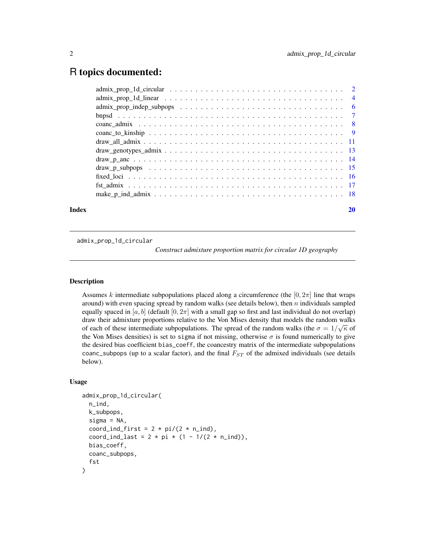### <span id="page-1-0"></span>R topics documented:

admix\_prop\_1d\_circular

*Construct admixture proportion matrix for circular 1D geography*

#### Description

Assumes k intermediate subpopulations placed along a circumference (the  $[0, 2\pi]$  line that wraps around) with even spacing spread by random walks (see details below), then  $n$  individuals sampled equally spaced in [a, b] (default [0,  $2\pi$ ] with a small gap so first and last individual do not overlap) draw their admixture proportions relative to the Von Mises density that models the random walks of each of these intermediate subpopulations. The spread of the random walks (the  $\sigma = 1/\sqrt{\kappa}$  of the Von Mises densities) is set to sigma if not missing, otherwise  $\sigma$  is found numerically to give the desired bias coefficient bias\_coeff, the coancestry matrix of the intermediate subpopulations coanc\_subpops (up to a scalar factor), and the final  $F_{ST}$  of the admixed individuals (see details below).

#### Usage

```
admix_prop_1d_circular(
 n_ind,
  k_subpops,
  signa = NA,
  coord_ind_first = 2 * pi/(2 * n_i),
  coord_ind_last = 2 * pi * (1 - 1/(2 * n\_ind)),
  bias_coeff,
  coanc_subpops,
  fst
)
```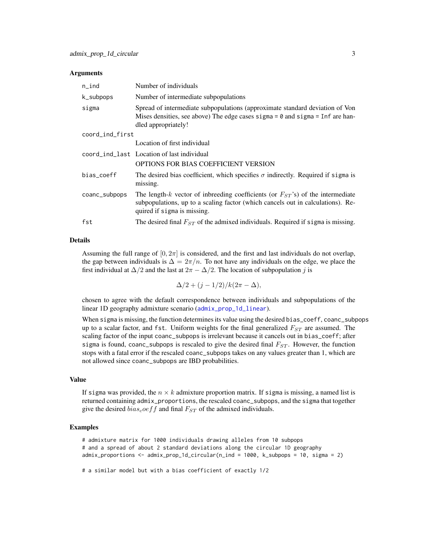#### <span id="page-2-0"></span>Arguments

| $n$ _ind        | Number of individuals                                                                                                                                                                                 |
|-----------------|-------------------------------------------------------------------------------------------------------------------------------------------------------------------------------------------------------|
| k_subpops       | Number of intermediate subpopulations                                                                                                                                                                 |
| sigma           | Spread of intermediate subpopulations (approximate standard deviation of Von<br>Mises densities, see above) The edge cases sigma = $\theta$ and sigma = Inf are han-<br>dled appropriately!           |
| coord_ind_first |                                                                                                                                                                                                       |
|                 | Location of first individual                                                                                                                                                                          |
|                 | coord_ind_last Location of last individual                                                                                                                                                            |
|                 | OPTIONS FOR BIAS COEFFICIENT VERSION                                                                                                                                                                  |
| bias_coeff      | The desired bias coefficient, which specifies $\sigma$ indirectly. Required if sigma is<br>missing.                                                                                                   |
| coanc_subpops   | The length-k vector of inbreeding coefficients (or $F_{ST}$ 's) of the intermediate<br>subpopulations, up to a scaling factor (which cancels out in calculations). Re-<br>quired if sigma is missing. |
| fst             | The desired final $F_{ST}$ of the admixed individuals. Required if sigma is missing.                                                                                                                  |

#### Details

Assuming the full range of  $[0, 2\pi]$  is considered, and the first and last individuals do not overlap, the gap between individuals is  $\Delta = 2\pi/n$ . To not have any individuals on the edge, we place the first individual at  $\Delta/2$  and the last at  $2\pi - \Delta/2$ . The location of subpopulation j is

 $\Delta/2 + (j - 1/2)/k(2\pi - \Delta),$ 

chosen to agree with the default correspondence between individuals and subpopulations of the linear 1D geography admixture scenario ([admix\\_prop\\_1d\\_linear](#page-3-1)).

When sigma is missing, the function determines its value using the desired bias\_coeff, coanc\_subpops up to a scalar factor, and fst. Uniform weights for the final generalized  $F_{ST}$  are assumed. The scaling factor of the input coanc\_subpops is irrelevant because it cancels out in bias\_coeff; after sigma is found, coanc\_subpops is rescaled to give the desired final  $F_{ST}$ . However, the function stops with a fatal error if the rescaled coanc\_subpops takes on any values greater than 1, which are not allowed since coanc\_subpops are IBD probabilities.

#### Value

If sigma was provided, the  $n \times k$  admixture proportion matrix. If sigma is missing, a named list is returned containing admix\_proportions, the rescaled coanc\_subpops, and the sigma that together give the desired  $bias<sub>c</sub>oeff$  and final  $F<sub>ST</sub>$  of the admixed individuals.

#### Examples

```
# admixture matrix for 1000 individuals drawing alleles from 10 subpops
# and a spread of about 2 standard deviations along the circular 1D geography
admix_proportions <- admix_prop_1d_circular(n_ind = 1000, k_subpops = 10, sigma = 2)
```
# a similar model but with a bias coefficient of exactly 1/2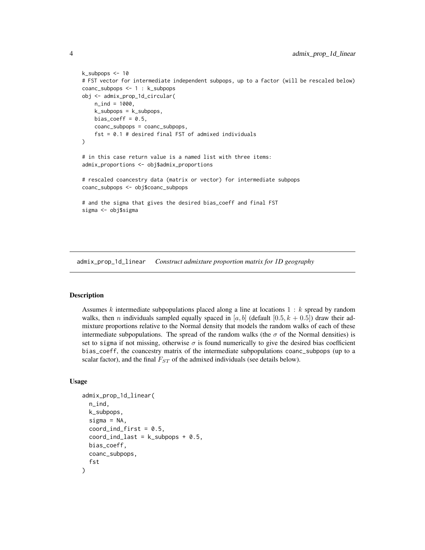```
k_subpops <- 10
# FST vector for intermediate independent subpops, up to a factor (will be rescaled below)
coanc_subpops <- 1 : k_subpops
obj <- admix_prop_1d_circular(
   n_ind = 1000,
   k_subpops = k_subpops,
   bias_coeff = 0.5,
   coanc_subpops = coanc_subpops,
    fst = 0.1 # desired final FST of admixed individuals
\mathcal{L}# in this case return value is a named list with three items:
admix_proportions <- obj$admix_proportions
# rescaled coancestry data (matrix or vector) for intermediate subpops
coanc_subpops <- obj$coanc_subpops
# and the sigma that gives the desired bias_coeff and final FST
sigma <- obj$sigma
```
<span id="page-3-1"></span>admix\_prop\_1d\_linear *Construct admixture proportion matrix for 1D geography*

#### Description

Assumes k intermediate subpopulations placed along a line at locations  $1 : k$  spread by random walks, then *n* individuals sampled equally spaced in [a, b] (default [0.5,  $k + 0.5$ ]) draw their admixture proportions relative to the Normal density that models the random walks of each of these intermediate subpopulations. The spread of the random walks (the  $\sigma$  of the Normal densities) is set to sigma if not missing, otherwise  $\sigma$  is found numerically to give the desired bias coefficient bias\_coeff, the coancestry matrix of the intermediate subpopulations coanc\_subpops (up to a scalar factor), and the final  $F_{ST}$  of the admixed individuals (see details below).

#### Usage

```
admix_prop_1d_linear(
  n_ind,
  k_subpops,
  signa = NA,
  coord\_ind\_first = 0.5,
  coord\_ind\_last = k\_subpops + 0.5,
  bias_coeff,
  coanc_subpops,
  fst
)
```
<span id="page-3-0"></span>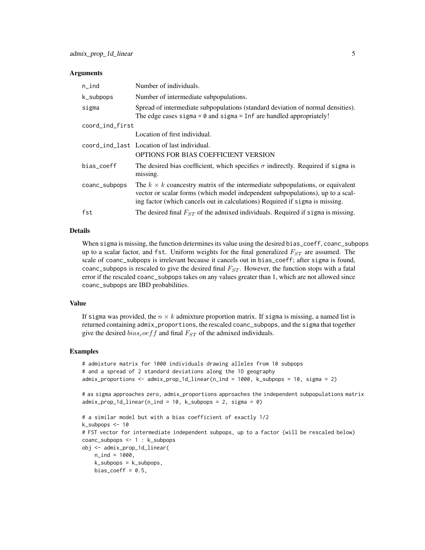#### Arguments

| $n$ _ind        | Number of individuals.                                                                                                                                                                                                                                 |
|-----------------|--------------------------------------------------------------------------------------------------------------------------------------------------------------------------------------------------------------------------------------------------------|
| k_subpops       | Number of intermediate subpopulations.                                                                                                                                                                                                                 |
| sigma           | Spread of intermediate subpopulations (standard deviation of normal densities).<br>The edge cases sigma $= 0$ and sigma $=$ Inf are handled appropriately!                                                                                             |
| coord_ind_first |                                                                                                                                                                                                                                                        |
|                 | Location of first individual.                                                                                                                                                                                                                          |
|                 | coord_ind_last Location of last individual.                                                                                                                                                                                                            |
|                 | <b>OPTIONS FOR BIAS COEFFICIENT VERSION</b>                                                                                                                                                                                                            |
| bias_coeff      | The desired bias coefficient, which specifies $\sigma$ indirectly. Required if sigma is<br>missing.                                                                                                                                                    |
| coanc_subpops   | The $k \times k$ coancestry matrix of the intermediate subpopulations, or equivalent<br>vector or scalar forms (which model independent subpopulations), up to a scal-<br>ing factor (which cancels out in calculations) Required if sigma is missing. |
| fst             | The desired final $F_{ST}$ of the admixed individuals. Required if sigma is missing.                                                                                                                                                                   |

#### Details

When sigma is missing, the function determines its value using the desired bias\_coeff, coanc\_subpops up to a scalar factor, and fst. Uniform weights for the final generalized  $F_{ST}$  are assumed. The scale of coanc\_subpops is irrelevant because it cancels out in bias\_coeff; after sigma is found, coanc\_subpops is rescaled to give the desired final  $F_{ST}$ . However, the function stops with a fatal error if the rescaled coanc\_subpops takes on any values greater than 1, which are not allowed since coanc\_subpops are IBD probabilities.

#### Value

If sigma was provided, the  $n \times k$  admixture proportion matrix. If sigma is missing, a named list is returned containing admix\_proportions, the rescaled coanc\_subpops, and the sigma that together give the desired  $bias<sub>c</sub>oeff$  and final  $F<sub>ST</sub>$  of the admixed individuals.

#### Examples

```
# admixture matrix for 1000 individuals drawing alleles from 10 subpops
# and a spread of 2 standard deviations along the 1D geography
admix_proportions <- admix_prop_1d_linear(n_ind = 1000, k_subpops = 10, sigma = 2)
```
# as sigma approaches zero, admix\_proportions approaches the independent subpopulations matrix  $admix\_prop_1d_1inear(n_1nd = 10, k_subpops = 2, sigma = 0)$ 

```
# a similar model but with a bias coefficient of exactly 1/2
k_subpops <- 10
# FST vector for intermediate independent subpops, up to a factor (will be rescaled below)
coanc_subpops <- 1 : k_subpops
obj <- admix_prop_1d_linear(
   n\_ind = 1000,k_subpops = k_subpops,
   bias_coeff = 0.5,
```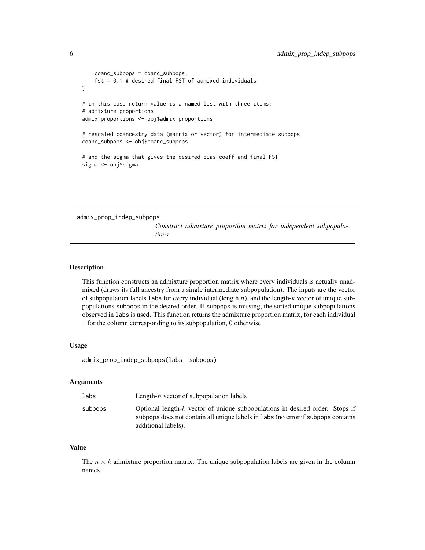```
coanc_subpops = coanc_subpops,
    fst = 0.1 # desired final FST of admixed individuals
)
# in this case return value is a named list with three items:
# admixture proportions
admix_proportions <- obj$admix_proportions
# rescaled coancestry data (matrix or vector) for intermediate subpops
coanc_subpops <- obj$coanc_subpops
# and the sigma that gives the desired bias_coeff and final FST
sigma <- obj$sigma
```
admix\_prop\_indep\_subpops

*Construct admixture proportion matrix for independent subpopulations*

#### Description

This function constructs an admixture proportion matrix where every individuals is actually unadmixed (draws its full ancestry from a single intermediate subpopulation). The inputs are the vector of subpopulation labels labs for every individual (length  $n$ ), and the length- $k$  vector of unique subpopulations subpops in the desired order. If subpops is missing, the sorted unique subpopulations observed in labs is used. This function returns the admixture proportion matrix, for each individual 1 for the column corresponding to its subpopulation, 0 otherwise.

#### Usage

admix\_prop\_indep\_subpops(labs, subpops)

#### Arguments

| labs    | Length- $n$ vector of subpopulation labels                                                                                                                          |
|---------|---------------------------------------------------------------------------------------------------------------------------------------------------------------------|
| subpops | Optional length- $k$ vector of unique subpopulations in desired order. Stops if<br>subpops does not contain all unique labels in labs (no error if subpops contains |
|         | additional labels).                                                                                                                                                 |

#### Value

The  $n \times k$  admixture proportion matrix. The unique subpopulation labels are given in the column names.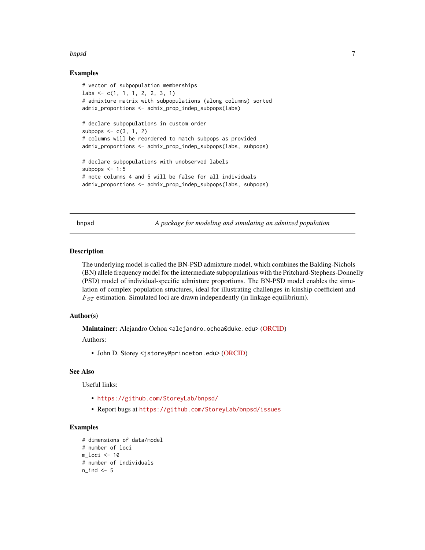#### <span id="page-6-0"></span>bnpsd 7

#### Examples

```
# vector of subpopulation memberships
labs \leq c(1, 1, 1, 2, 2, 3, 1)# admixture matrix with subpopulations (along columns) sorted
admix_proportions <- admix_prop_indep_subpops(labs)
# declare subpopulations in custom order
subpops \leq -c(3, 1, 2)# columns will be reordered to match subpops as provided
admix_proportions <- admix_prop_indep_subpops(labs, subpops)
# declare subpopulations with unobserved labels
subpops \leq -1:5# note columns 4 and 5 will be false for all individuals
admix_proportions <- admix_prop_indep_subpops(labs, subpops)
```
bnpsd *A package for modeling and simulating an admixed population*

#### **Description**

The underlying model is called the BN-PSD admixture model, which combines the Balding-Nichols (BN) allele frequency model for the intermediate subpopulations with the Pritchard-Stephens-Donnelly (PSD) model of individual-specific admixture proportions. The BN-PSD model enables the simulation of complex population structures, ideal for illustrating challenges in kinship coefficient and  $F_{ST}$  estimation. Simulated loci are drawn independently (in linkage equilibrium).

#### Author(s)

Maintainer: Alejandro Ochoa <alejandro.ochoa@duke.edu> [\(ORCID\)](https://orcid.org/0000-0003-4928-3403)

Authors:

• John D. Storey <jstorey@princeton.edu> [\(ORCID\)](https://orcid.org/0000-0001-5992-402X)

#### See Also

Useful links:

- <https://github.com/StoreyLab/bnpsd/>
- Report bugs at <https://github.com/StoreyLab/bnpsd/issues>

```
# dimensions of data/model
# number of loci
m_loci <- 10
# number of individuals
n\_ind < -5
```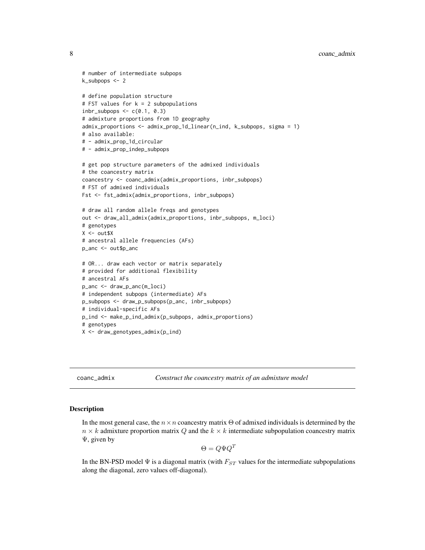```
# number of intermediate subpops
k_subpops <- 2
# define population structure
# FST values for k = 2 subpopulations
inbr\_subpops \leftarrow c(0.1, 0.3)# admixture proportions from 1D geography
admix_proportions <- admix_prop_1d_linear(n_ind, k_subpops, sigma = 1)
# also available:
# - admix_prop_1d_circular
# - admix_prop_indep_subpops
# get pop structure parameters of the admixed individuals
# the coancestry matrix
coancestry <- coanc_admix(admix_proportions, inbr_subpops)
# FST of admixed individuals
Fst <- fst_admix(admix_proportions, inbr_subpops)
# draw all random allele freqs and genotypes
out <- draw_all_admix(admix_proportions, inbr_subpops, m_loci)
# genotypes
X \leftarrow out $X# ancestral allele frequencies (AFs)
p_anc <- out$p_anc
# OR... draw each vector or matrix separately
# provided for additional flexibility
# ancestral AFs
p_anc <- draw_p_anc(m_loci)
# independent subpops (intermediate) AFs
p_subpops <- draw_p_subpops(p_anc, inbr_subpops)
# individual-specific AFs
p_ind <- make_p_ind_admix(p_subpops, admix_proportions)
# genotypes
X <- draw_genotypes_admix(p_ind)
```
<span id="page-7-1"></span>coanc\_admix *Construct the coancestry matrix of an admixture model*

#### Description

In the most general case, the  $n \times n$  coancestry matrix  $\Theta$  of admixed individuals is determined by the  $n \times k$  admixture proportion matrix Q and the  $k \times k$  intermediate subpopulation coancestry matrix Ψ, given by

$$
\Theta = Q\Psi Q^T
$$

In the BN-PSD model  $\Psi$  is a diagonal matrix (with  $F_{ST}$  values for the intermediate subpopulations along the diagonal, zero values off-diagonal).

<span id="page-7-0"></span>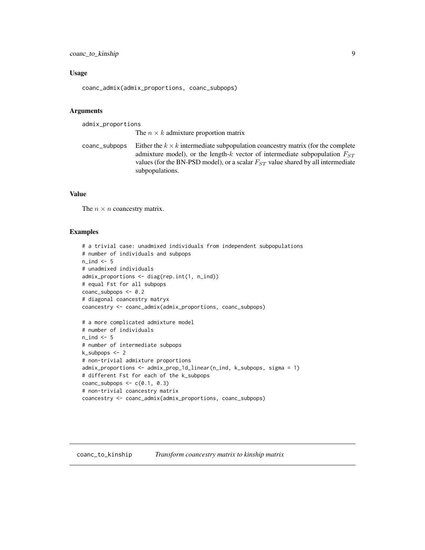#### <span id="page-8-0"></span>Usage

coanc\_admix(admix\_proportions, coanc\_subpops)

#### Arguments

admix\_proportions

The  $n \times k$  admixture proportion matrix

coanc\_subpops Either the  $k \times k$  intermediate subpopulation coancestry matrix (for the complete admixture model), or the length-k vector of intermediate subpopulation  $F_{ST}$ values (for the BN-PSD model), or a scalar  $F_{ST}$  value shared by all intermediate subpopulations.

#### Value

The  $n \times n$  coancestry matrix.

```
# a trivial case: unadmixed individuals from independent subpopulations
# number of individuals and subpops
n\_ind < -5# unadmixed individuals
admix_proportions <- diag(rep.int(1, n_ind))
# equal Fst for all subpops
coanc_subpops <- 0.2
# diagonal coancestry matryx
coancestry <- coanc_admix(admix_proportions, coanc_subpops)
# a more complicated admixture model
# number of individuals
n_ind <- 5
# number of intermediate subpops
k_subpops <- 2
# non-trivial admixture proportions
admix_proportions <- admix_prop_1d_linear(n_ind, k_subpops, sigma = 1)
# different Fst for each of the k_subpops
coanc_subpops \leq c(0.1, 0.3)# non-trivial coancestry matrix
coancestry <- coanc_admix(admix_proportions, coanc_subpops)
```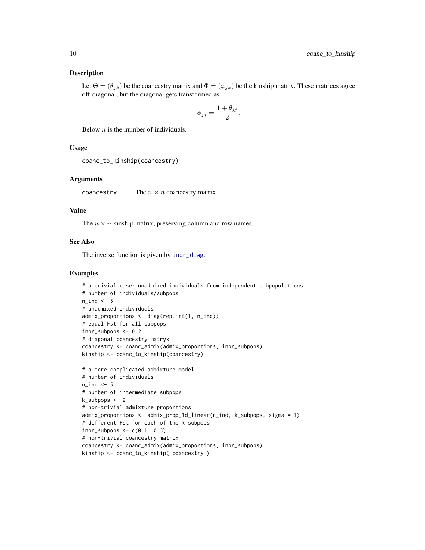#### <span id="page-9-0"></span>Description

Let  $\Theta = (\theta_{jk})$  be the coancestry matrix and  $\Phi = (\varphi_{jk})$  be the kinship matrix. These matrices agree off-diagonal, but the diagonal gets transformed as

$$
\phi_{jj} = \frac{1 + \theta_{jj}}{2}.
$$

Below  $n$  is the number of individuals.

#### Usage

```
coanc_to_kinship(coancestry)
```
#### Arguments

coancestry The  $n \times n$  coancestry matrix

#### Value

The  $n \times n$  kinship matrix, preserving column and row names.

#### See Also

The inverse function is given by [inbr\\_diag](#page-0-0).

```
# a trivial case: unadmixed individuals from independent subpopulations
# number of individuals/subpops
n ind <- 5# unadmixed individuals
admix_proportions <- diag(rep.int(1, n_ind))
# equal Fst for all subpops
inbr\_subpops < -0.2# diagonal coancestry matryx
coancestry <- coanc_admix(admix_proportions, inbr_subpops)
kinship <- coanc_to_kinship(coancestry)
# a more complicated admixture model
# number of individuals
n\_ind <- 5
# number of intermediate subpops
k_subpops <- 2
# non-trivial admixture proportions
admix_proportions <- admix_prop_1d_linear(n_ind, k_subpops, sigma = 1)
# different Fst for each of the k subpops
inbr\_subpops \leq c(0.1, 0.3)# non-trivial coancestry matrix
coancestry <- coanc_admix(admix_proportions, inbr_subpops)
kinship <- coanc_to_kinship( coancestry )
```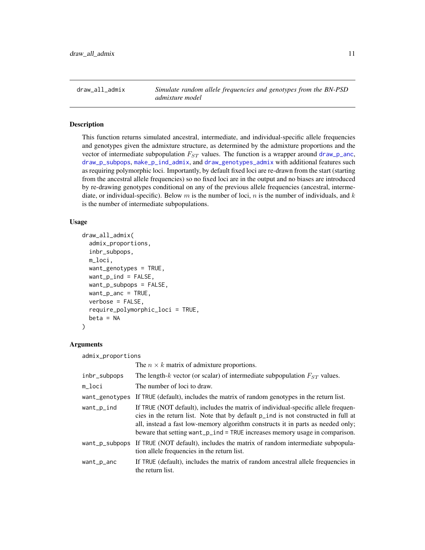<span id="page-10-0"></span>draw\_all\_admix *Simulate random allele frequencies and genotypes from the BN-PSD admixture model*

#### Description

This function returns simulated ancestral, intermediate, and individual-specific allele frequencies and genotypes given the admixture structure, as determined by the admixture proportions and the vector of intermediate subpopulation  $F_{ST}$  values. The function is a wrapper around [draw\\_p\\_anc](#page-13-1), [draw\\_p\\_subpops](#page-14-1), [make\\_p\\_ind\\_admix](#page-17-1), and [draw\\_genotypes\\_admix](#page-12-1) with additional features such as requiring polymorphic loci. Importantly, by default fixed loci are re-drawn from the start (starting from the ancestral allele frequencies) so no fixed loci are in the output and no biases are introduced by re-drawing genotypes conditional on any of the previous allele frequencies (ancestral, intermediate, or individual-specific). Below m is the number of loci, n is the number of individuals, and k is the number of intermediate subpopulations.

#### Usage

```
draw_all_admix(
  admix_proportions,
  inbr_subpops,
  m_loci,
  want_genotypes = TRUE,
  want\_p\_ind = FALSE,
  want_p_subpops = FALSE,
  want_p_anc = TRUE,
  verbose = FALSE,
  require_polymorphic_loci = TRUE,
  beta = NA)
```
#### Arguments

admix\_proportions The  $n \times k$  matrix of admixture proportions. inbr\_subpops The length-k vector (or scalar) of intermediate subpopulation  $F_{ST}$  values. m\_loci The number of loci to draw. want\_genotypes If TRUE (default), includes the matrix of random genotypes in the return list. want\_p\_ind If TRUE (NOT default), includes the matrix of individual-specific allele frequencies in the return list. Note that by default p\_ind is not constructed in full at all, instead a fast low-memory algorithm constructs it in parts as needed only; beware that setting want\_p\_ind = TRUE increases memory usage in comparison. want\_p\_subpops If TRUE (NOT default), includes the matrix of random intermediate subpopulation allele frequencies in the return list. want\_p\_anc If TRUE (default), includes the matrix of random ancestral allele frequencies in the return list.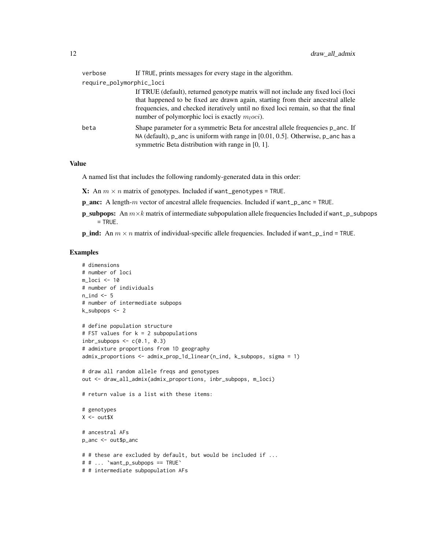| verbose                  | If TRUE, prints messages for every stage in the algorithm.                                                                                                                                                                                                                                                     |
|--------------------------|----------------------------------------------------------------------------------------------------------------------------------------------------------------------------------------------------------------------------------------------------------------------------------------------------------------|
| require_polymorphic_loci |                                                                                                                                                                                                                                                                                                                |
|                          | If TRUE (default), returned genotype matrix will not include any fixed loci (loci<br>that happened to be fixed are drawn again, starting from their ancestral allele<br>frequencies, and checked iteratively until no fixed loci remain, so that the final<br>number of polymorphic loci is exactly $mloci$ ). |
| beta                     | Shape parameter for a symmetric Beta for ancestral allele frequencies p_anc. If<br>NA (default), $p$ and is uniform with range in [0.01, 0.5]. Otherwise, $p$ and has a<br>symmetric Beta distribution with range in $[0, 1]$ .                                                                                |

#### Value

A named list that includes the following randomly-generated data in this order:

- **X:** An  $m \times n$  matrix of genotypes. Included if want\_genotypes = TRUE.
- p\_anc: A length-m vector of ancestral allele frequencies. Included if want\_p\_anc = TRUE.
- **p\_subpops:** An  $m \times k$  matrix of intermediate subpopulation allele frequencies Included if want\_p\_subpops  $=$  TRUE.

**p\_ind:** An  $m \times n$  matrix of individual-specific allele frequencies. Included if want\_p\_ind = TRUE.

```
# dimensions
# number of loci
m_loci <- 10
# number of individuals
n\_ind < -5# number of intermediate subpops
k_subpops <- 2
# define population structure
# FST values for k = 2 subpopulations
inbr\_subpops \leq c(0.1, 0.3)# admixture proportions from 1D geography
admix_proportions <- admix_prop_1d_linear(n_ind, k_subpops, sigma = 1)
# draw all random allele freqs and genotypes
out <- draw_all_admix(admix_proportions, inbr_subpops, m_loci)
# return value is a list with these items:
# genotypes
X < - out $X
# ancestral AFs
p_anc <- out$p_anc
# # these are excluded by default, but would be included if ...
# # ... `want_p_subpops == TRUE`
# # intermediate subpopulation AFs
```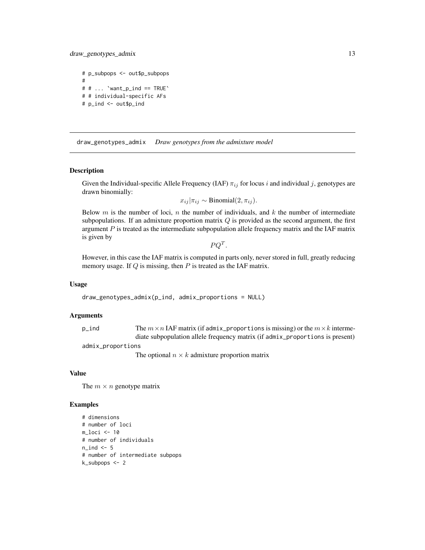<span id="page-12-0"></span>draw\_genotypes\_admix 13

# p\_subpops <- out\$p\_subpops #  $# # ...$  'want\_p\_ind == TRUE' # # individual-specific AFs # p\_ind <- out\$p\_ind

<span id="page-12-1"></span>draw\_genotypes\_admix *Draw genotypes from the admixture model*

#### Description

Given the Individual-specific Allele Frequency (IAF)  $\pi_{ij}$  for locus i and individual j, genotypes are drawn binomially:

$$
x_{ij}|\pi_{ij} \sim \text{Binomial}(2, \pi_{ij}).
$$

Below m is the number of loci, n the number of individuals, and k the number of intermediate subpopulations. If an admixture proportion matrix  $Q$  is provided as the second argument, the first argument  $P$  is treated as the intermediate subpopulation allele frequency matrix and the IAF matrix is given by

 $PQ^T$ .

However, in this case the IAF matrix is computed in parts only, never stored in full, greatly reducing memory usage. If  $Q$  is missing, then  $P$  is treated as the IAF matrix.

#### Usage

draw\_genotypes\_admix(p\_ind, admix\_proportions = NULL)

#### Arguments

| p_ind | The $m \times n$ IAF matrix (if admix_proportions is missing) or the $m \times k$ interme- |  |
|-------|--------------------------------------------------------------------------------------------|--|
|       | diate subpopulation allele frequency matrix (if admix_proportions is present)              |  |
|       |                                                                                            |  |

admix\_proportions

The optional  $n \times k$  admixture proportion matrix

#### Value

The  $m \times n$  genotype matrix

```
# dimensions
# number of loci
m_loci <- 10
# number of individuals
n<sub>ind</sub> <-5# number of intermediate subpops
k_subpops <- 2
```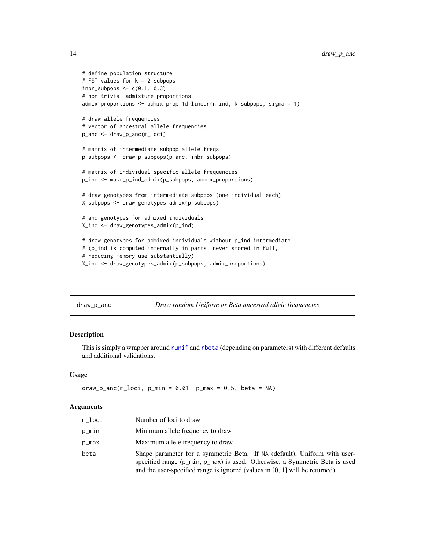```
# define population structure
# FST values for k = 2 subpops
inbr\_subpops \leftarrow c(0.1, 0.3)# non-trivial admixture proportions
admix_proportions <- admix_prop_1d_linear(n_ind, k_subpops, sigma = 1)
# draw allele frequencies
# vector of ancestral allele frequencies
p_anc <- draw_p_anc(m_loci)
# matrix of intermediate subpop allele freqs
p_subpops <- draw_p_subpops(p_anc, inbr_subpops)
# matrix of individual-specific allele frequencies
p_ind <- make_p_ind_admix(p_subpops, admix_proportions)
# draw genotypes from intermediate subpops (one individual each)
X_subpops <- draw_genotypes_admix(p_subpops)
# and genotypes for admixed individuals
X_ind <- draw_genotypes_admix(p_ind)
# draw genotypes for admixed individuals without p_ind intermediate
# (p_ind is computed internally in parts, never stored in full,
# reducing memory use substantially)
X_ind <- draw_genotypes_admix(p_subpops, admix_proportions)
```
<span id="page-13-1"></span>draw\_p\_anc *Draw random Uniform or Beta ancestral allele frequencies*

#### Description

This is simply a wrapper around [runif](#page-0-0) and [rbeta](#page-0-0) (depending on parameters) with different defaults and additional validations.

#### Usage

```
draw_p_anc(m_loci, p=min = 0.01, p_max = 0.5, beta = NA)
```
#### Arguments

| m_loci | Number of loci to draw                                                                                                                                                                                                                     |
|--------|--------------------------------------------------------------------------------------------------------------------------------------------------------------------------------------------------------------------------------------------|
| p_min  | Minimum allele frequency to draw                                                                                                                                                                                                           |
| p_max  | Maximum allele frequency to draw                                                                                                                                                                                                           |
| beta   | Shape parameter for a symmetric Beta. If NA (default), Uniform with user-<br>specified range (p_min, p_max) is used. Otherwise, a Symmetric Beta is used<br>and the user-specified range is ignored (values in $[0, 1]$ will be returned). |

<span id="page-13-0"></span>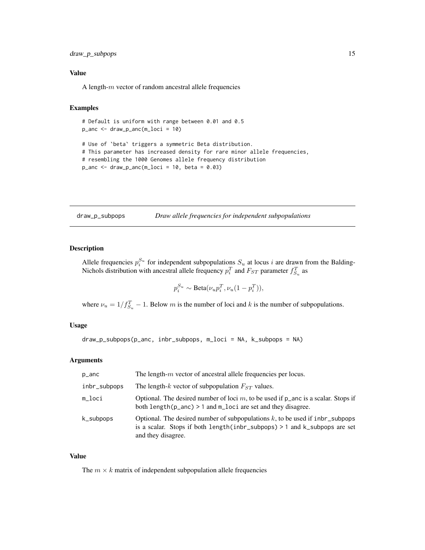#### <span id="page-14-0"></span>draw\_p\_subpops 15

#### Value

A length- $m$  vector of random ancestral allele frequencies

#### Examples

```
# Default is uniform with range between 0.01 and 0.5
p_anc <- draw_p_anc(m_loci = 10)
# Use of `beta` triggers a symmetric Beta distribution.
# This parameter has increased density for rare minor allele frequencies,
# resembling the 1000 Genomes allele frequency distribution
```
 $p_$ anc <- draw\_p\_anc(m\_loci = 10, beta = 0.03)

<span id="page-14-1"></span>draw\_p\_subpops *Draw allele frequencies for independent subpopulations*

#### Description

Allele frequencies  $p_i^{S_u}$  for independent subpopulations  $S_u$  at locus i are drawn from the Balding-Nichols distribution with ancestral allele frequency  $p_i^T$  and  $F_{ST}$  parameter  $f_{S_u}^T$  as

$$
p_i^{S_u} \sim \text{Beta}(\nu_u p_i^T, \nu_u (1 - p_i^T)),
$$

where  $\nu_u = 1/f_{S_u}^T - 1$ . Below m is the number of loci and k is the number of subpopulations.

#### Usage

draw\_p\_subpops(p\_anc, inbr\_subpops, m\_loci = NA, k\_subpops = NA)

#### Arguments

| p_anc        | The length- $m$ vector of ancestral allele frequencies per locus.                                                                                                                  |
|--------------|------------------------------------------------------------------------------------------------------------------------------------------------------------------------------------|
| inbr_subpops | The length-k vector of subpopulation $F_{ST}$ values.                                                                                                                              |
| m_loci       | Optional. The desired number of loci $m$ , to be used if $p$ and is a scalar. Stops if<br>both $length(p_anc) > 1$ and $m_loci$ are set and they disagree.                         |
| k_subpops    | Optional. The desired number of subpopulations $k$ , to be used if inbr_subpops<br>is a scalar. Stops if both length(inbr_subpops) > 1 and k_subpops are set<br>and they disagree. |

#### Value

The  $m \times k$  matrix of independent subpopulation allele frequencies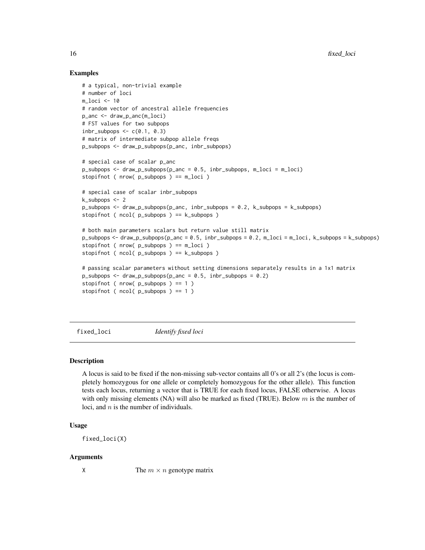#### Examples

```
# a typical, non-trivial example
# number of loci
m_loci <- 10
# random vector of ancestral allele frequencies
p_anc <- draw_p_anc(m_loci)
# FST values for two subpops
inbr\_subpops \leq c(0.1, 0.3)# matrix of intermediate subpop allele freqs
p_subpops <- draw_p_subpops(p_anc, inbr_subpops)
# special case of scalar p_anc
p_subpops <- draw_p_subpops(p_anc = 0.5, inbr_subpops, m_loci = m_loci)
stopifnot ( nrow( p_subpops ) == m_loci )
# special case of scalar inbr_subpops
k_subpops <- 2
p_subpops <- draw_p_subpops(p_anc, inbr_subpops = 0.2, k_subpops = k_subpops)
stopifnot ( ncol( p_subpops ) == k_subpops )
# both main parameters scalars but return value still matrix
p_subpops <- draw_p_subpops(p_anc = 0.5, inbr_subpops = 0.2, m_loci = m_loci, k_subpops = k_subpops)
stopifnot ( nrow( p_subpops ) == m_loci )
stopifnot ( ncol( p_subpops ) == k_subpops )
# passing scalar parameters without setting dimensions separately results in a 1x1 matrix
p\_subpops \leq - draw_p\_subpops(p_ance = 0.5, inbr\_subpops = 0.2)stopifnot ( nrow( p_subpops ) == 1 )
stopifnot (ncol(p\_subpops) == 1)
```
fixed\_loci *Identify fixed loci*

#### **Description**

A locus is said to be fixed if the non-missing sub-vector contains all 0's or all 2's (the locus is completely homozygous for one allele or completely homozygous for the other allele). This function tests each locus, returning a vector that is TRUE for each fixed locus, FALSE otherwise. A locus with only missing elements (NA) will also be marked as fixed (TRUE). Below  $m$  is the number of loci, and  $n$  is the number of individuals.

#### Usage

fixed\_loci(X)

#### Arguments

 $X$  The  $m \times n$  genotype matrix

<span id="page-15-0"></span>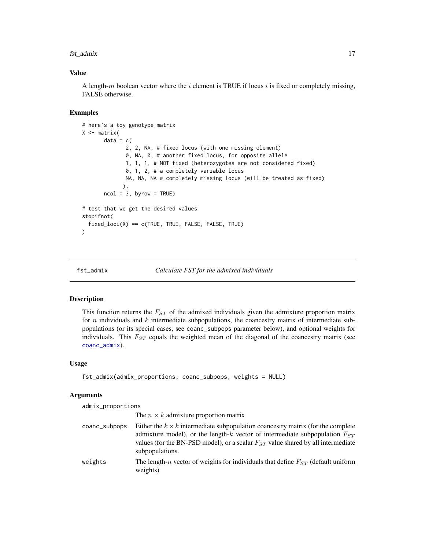#### <span id="page-16-0"></span>fst\_admix 17

#### Value

A length-m boolean vector where the  $i$  element is TRUE if locus  $i$  is fixed or completely missing, FALSE otherwise.

#### Examples

```
# here's a toy genotype matrix
X <- matrix(
      data = c(2, 2, NA, # fixed locus (with one missing element)
              0, NA, 0, # another fixed locus, for opposite allele
             1, 1, 1, # NOT fixed (heterozygotes are not considered fixed)
              0, 1, 2, # a completely variable locus
             NA, NA, NA # completely missing locus (will be treated as fixed)
             ),
      ncol = 3, byrow = TRUE)
# test that we get the desired values
stopifnot(
 fixed_loci(X) == c(TRUE, TRUE, FALSE, FALSE, TRUE)
)
```

```
fst_admix Calculate FST for the admixed individuals
```
#### Description

This function returns the  $F_{ST}$  of the admixed individuals given the admixture proportion matrix for n individuals and k intermediate subpopulations, the coancestry matrix of intermediate subpopulations (or its special cases, see coanc\_subpops parameter below), and optional weights for individuals. This  $F_{ST}$  equals the weighted mean of the diagonal of the coancestry matrix (see [coanc\\_admix](#page-7-1)).

#### Usage

```
fst_admix(admix_proportions, coanc_subpops, weights = NULL)
```
#### Arguments

admix\_proportions

|               | The $n \times k$ admixture proportion matrix                                                                                                                                                                                                                                         |
|---------------|--------------------------------------------------------------------------------------------------------------------------------------------------------------------------------------------------------------------------------------------------------------------------------------|
| coanc_subpops | Either the $k \times k$ intermediate subpopulation coancestry matrix (for the complete<br>admixture model), or the length-k vector of intermediate subpopulation $F_{ST}$<br>values (for the BN-PSD model), or a scalar $F_{ST}$ value shared by all intermediate<br>subpopulations. |
| weights       | The length-n vector of weights for individuals that define $F_{ST}$ (default uniform<br>weights)                                                                                                                                                                                     |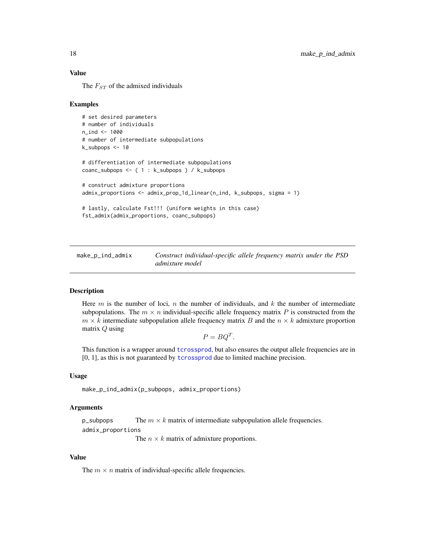#### <span id="page-17-0"></span>Value

The  $F_{ST}$  of the admixed individuals

#### Examples

```
# set desired parameters
# number of individuals
n_{1}nd < -1000# number of intermediate subpopulations
k_subpops <- 10
# differentiation of intermediate subpopulations
coanc_subpops <- ( 1 : k_subpops ) / k_subpops
# construct admixture proportions
admix_proportions <- admix_prop_1d_linear(n_ind, k_subpops, sigma = 1)
# lastly, calculate Fst!!! (uniform weights in this case)
fst_admix(admix_proportions, coanc_subpops)
```
<span id="page-17-1"></span>make\_p\_ind\_admix *Construct individual-specific allele frequency matrix under the PSD admixture model*

#### **Description**

Here  $m$  is the number of loci,  $n$  the number of individuals, and  $k$  the number of intermediate subpopulations. The  $m \times n$  individual-specific allele frequency matrix P is constructed from the  $m \times k$  intermediate subpopulation allele frequency matrix B and the  $n \times k$  admixture proportion matrix Q using

$$
P = BQ^T.
$$

This function is a wrapper around [tcrossprod](#page-0-0), but also ensures the output allele frequencies are in  $[0, 1]$ , as this is not guaranteed by [tcrossprod](#page-0-0) due to limited machine precision.

#### Usage

make\_p\_ind\_admix(p\_subpops, admix\_proportions)

#### Arguments

p\_subpops The  $m \times k$  matrix of intermediate subpopulation allele frequencies. admix\_proportions

The  $n \times k$  matrix of admixture proportions.

#### Value

The  $m \times n$  matrix of individual-specific allele frequencies.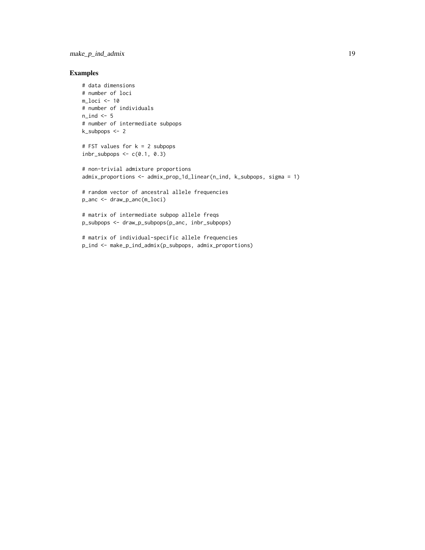#### make\_p\_ind\_admix 19

```
# data dimensions
# number of loci
m_loci <- 10
# number of individuals
n\_ind < -5# number of intermediate subpops
k_subpops <- 2
# FST values for k = 2 subpops
inbr\_subpops \leftarrow c(0.1, 0.3)# non-trivial admixture proportions
admix_proportions <- admix_prop_1d_linear(n_ind, k_subpops, sigma = 1)
# random vector of ancestral allele frequencies
p_anc <- draw_p_anc(m_loci)
# matrix of intermediate subpop allele freqs
p_subpops <- draw_p_subpops(p_anc, inbr_subpops)
# matrix of individual-specific allele frequencies
p_ind <- make_p_ind_admix(p_subpops, admix_proportions)
```